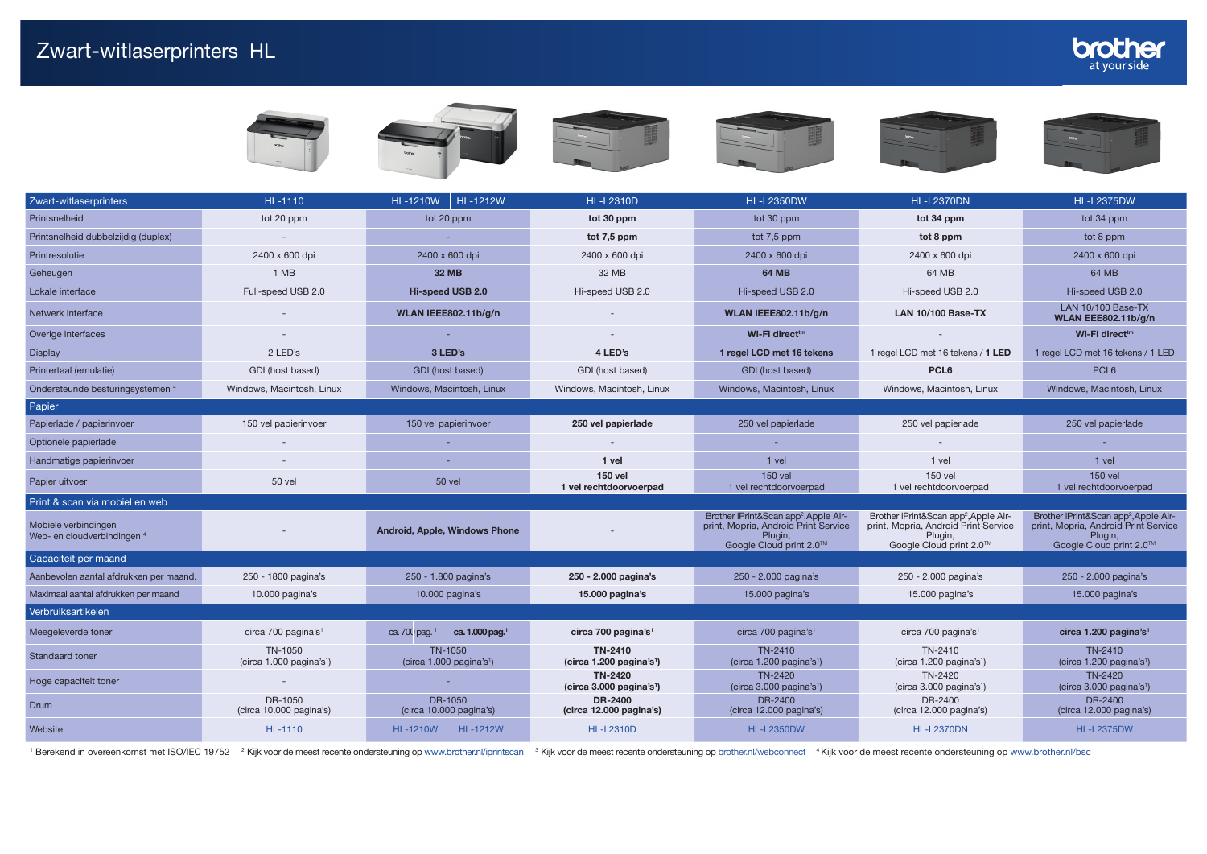| Zwart-witlaserprinters                              | <b>HL-1110</b>                                    | <b>HL-1212W</b><br><b>HL-1210W</b>                | <b>HL-L2310D</b>                                                                                                                                        | <b>HL-L2350DW</b>                                                                                                               | <b>HL-L2370DN</b>                                                                                                               | <b>HL-L2375DW</b>                                                                                                               |  |
|-----------------------------------------------------|---------------------------------------------------|---------------------------------------------------|---------------------------------------------------------------------------------------------------------------------------------------------------------|---------------------------------------------------------------------------------------------------------------------------------|---------------------------------------------------------------------------------------------------------------------------------|---------------------------------------------------------------------------------------------------------------------------------|--|
| Printsnelheid                                       | tot 20 ppm                                        | tot 20 ppm                                        | tot 30 ppm                                                                                                                                              | tot 30 ppm<br>tot 34 ppm                                                                                                        |                                                                                                                                 | tot 34 ppm                                                                                                                      |  |
| Printsnelheid dubbelzijdig (duplex)                 |                                                   |                                                   | tot 7,5 ppm                                                                                                                                             | tot $7,5$ ppm                                                                                                                   | tot 8 ppm                                                                                                                       | tot 8 ppm                                                                                                                       |  |
| Printresolutie                                      | 2400 x 600 dpi                                    | 2400 x 600 dpi                                    | 2400 x 600 dpi                                                                                                                                          | 2400 x 600 dpi                                                                                                                  | 2400 x 600 dpi                                                                                                                  | 2400 x 600 dpi                                                                                                                  |  |
| Geheugen                                            | 1 MB                                              | <b>32 MB</b>                                      | 32 MB                                                                                                                                                   | <b>64 MB</b>                                                                                                                    | 64 MB                                                                                                                           | 64 MB                                                                                                                           |  |
| Lokale interface                                    | Full-speed USB 2.0                                | Hi-speed USB 2.0                                  | Hi-speed USB 2.0                                                                                                                                        | Hi-speed USB 2.0                                                                                                                | Hi-speed USB 2.0                                                                                                                | Hi-speed USB 2.0                                                                                                                |  |
| Netwerk interface                                   |                                                   | <b>WLAN IEEE802.11b/g/n</b>                       |                                                                                                                                                         | WLAN IEEE802.11b/g/n                                                                                                            | <b>LAN 10/100 Base-TX</b>                                                                                                       | LAN 10/100 Base-TX<br><b>WLAN EEE802.11b/g/n</b>                                                                                |  |
| Overige interfaces                                  |                                                   |                                                   |                                                                                                                                                         | Wi-Fi direct <sup>tm</sup>                                                                                                      |                                                                                                                                 | Wi-Fi direct <sup>tm</sup>                                                                                                      |  |
| <b>Display</b>                                      | 2 LED's                                           | 3 LED's                                           | 4 LED's                                                                                                                                                 | 1 regel LCD met 16 tekens                                                                                                       | 1 regel LCD met 16 tekens / 1 LED                                                                                               | 1 regel LCD met 16 tekens / 1 LED                                                                                               |  |
| Printertaal (emulatie)                              | GDI (host based)                                  | GDI (host based)                                  | GDI (host based)                                                                                                                                        | GDI (host based)                                                                                                                | PCL <sub>6</sub>                                                                                                                | PCL <sub>6</sub>                                                                                                                |  |
| Ondersteunde besturingsystemen 4                    | Windows, Macintosh, Linux                         | Windows, Macintosh, Linux                         | Windows, Macintosh, Linux                                                                                                                               | Windows, Macintosh, Linux                                                                                                       | Windows, Macintosh, Linux                                                                                                       | Windows, Macintosh, Linux                                                                                                       |  |
| Papier                                              |                                                   |                                                   |                                                                                                                                                         |                                                                                                                                 |                                                                                                                                 |                                                                                                                                 |  |
| Papierlade / papierinvoer                           | 150 vel papierinvoer                              | 150 vel papierinvoer                              | 250 vel papierlade                                                                                                                                      | 250 vel papierlade<br>250 vel papierlade                                                                                        |                                                                                                                                 | 250 vel papierlade                                                                                                              |  |
| Optionele papierlade                                |                                                   | ٠                                                 |                                                                                                                                                         |                                                                                                                                 |                                                                                                                                 |                                                                                                                                 |  |
| Handmatige papierinvoer                             |                                                   | ٠                                                 | 1 vel                                                                                                                                                   | 1 vel                                                                                                                           | 1 vel                                                                                                                           |                                                                                                                                 |  |
| Papier uitvoer                                      | <b>50 vel</b>                                     | <b>50 vel</b>                                     | <b>150 vel</b><br>1 vel rechtdoorvoerpad                                                                                                                | <b>150 vel</b><br>1 vel rechtdoorvoerpad                                                                                        | 150 vel<br>1 vel rechtdoorvoerpad                                                                                               | 150 vel<br>1 vel rechtdoorvoerpad                                                                                               |  |
| Print & scan via mobiel en web                      |                                                   |                                                   |                                                                                                                                                         |                                                                                                                                 |                                                                                                                                 |                                                                                                                                 |  |
| Mobiele verbindingen<br>Web- en cloudverbindingen 4 |                                                   | Android, Apple, Windows Phone                     |                                                                                                                                                         | Brother iPrint&Scan app <sup>2</sup> , Apple Air-<br>print, Mopria, Android Print Service<br>Plugin,<br>Google Cloud print 2.0™ | Brother iPrint&Scan app <sup>2</sup> , Apple Air-<br>print, Mopria, Android Print Service<br>Plugin.<br>Google Cloud print 2.0™ | Brother iPrint&Scan app <sup>2</sup> , Apple Air-<br>print, Mopria, Android Print Service<br>Plugin,<br>Google Cloud print 2.0™ |  |
| Capaciteit per maand                                |                                                   |                                                   |                                                                                                                                                         |                                                                                                                                 |                                                                                                                                 |                                                                                                                                 |  |
| Aanbevolen aantal afdrukken per maand.              | 250 - 1800 pagina's                               | 250 - 1.800 pagina's                              | 250 - 2.000 pagina's                                                                                                                                    | 250 - 2.000 pagina's                                                                                                            | 250 - 2.000 pagina's                                                                                                            | 250 - 2.000 pagina's                                                                                                            |  |
| Maximaal aantal afdrukken per maand                 | 10.000 pagina's                                   | 10.000 pagina's                                   | 15.000 pagina's                                                                                                                                         | 15.000 pagina's                                                                                                                 | 15.000 pagina's                                                                                                                 | 15.000 pagina's                                                                                                                 |  |
| Verbruiksartikelen                                  |                                                   |                                                   |                                                                                                                                                         |                                                                                                                                 |                                                                                                                                 |                                                                                                                                 |  |
| Meegeleverde toner                                  | circa 700 pagina's <sup>1</sup>                   | ca. 1.000 pag. <sup>1</sup><br>ca. $700$ pag. $1$ | circa 700 pagina's <sup>1</sup>                                                                                                                         | circa 700 pagina's <sup>1</sup>                                                                                                 | circa 700 pagina's <sup>1</sup>                                                                                                 | circa 1.200 pagina's <sup>1</sup>                                                                                               |  |
| <b>Standaard toner</b>                              | TN-1050<br>(circa $1.000$ pagina's <sup>1</sup> ) | TN-1050<br>(circa 1.000 pagina's <sup>1</sup> )   | TN-2410<br>TN-2410<br>TN-2410<br>(circa 1.200 pagina's <sup>1</sup> )<br>$(circa 1.200$ pagina's <sup>1</sup> )<br>(circa 1.200 pagina's <sup>1</sup> ) |                                                                                                                                 |                                                                                                                                 | TN-2410<br>(circa 1.200 pagina's <sup>1</sup> )                                                                                 |  |
| Hoge capaciteit toner                               |                                                   |                                                   | TN-2420<br>(circa 3.000 paging's <sup>1</sup> )                                                                                                         | TN-2420<br>(circa 3.000 pagina's <sup>1</sup> )                                                                                 | TN-2420<br>(circa 3.000 pagina's <sup>1</sup> )                                                                                 | TN-2420<br>(circa 3.000 pagina's <sup>1</sup> )                                                                                 |  |
| <b>Drum</b>                                         | DR-1050<br>(circa 10.000 pagina's)                | DR-1050<br>(circa 10.000 pagina's)                | DR-2400<br>(circa 12.000 pagina's)                                                                                                                      | DR-2400<br>(circa 12.000 pagina's)                                                                                              | DR-2400<br>(circa 12.000 pagina's)                                                                                              | DR-2400<br>(circa 12.000 pagina's)                                                                                              |  |
| Website                                             | HL-1110                                           | <b>HL-1210W</b><br><b>HL-1212W</b>                | <b>HL-L2310D</b>                                                                                                                                        | <b>HL-L2350DW</b>                                                                                                               | <b>HL-L2370DN</b>                                                                                                               | <b>HL-L2375DW</b>                                                                                                               |  |

<sup>1</sup> Berekend in overeenkomst met ISO/IEC 19752 <sup>2</sup> Kijk voor de meest recente ondersteuning op <www.brother.nl/iprintscan> <sup>3</sup> Kijk voor de meest recente ondersteuning op www.brother.nl/iprintscan <sup>3</sup> Kijk voor de meest rece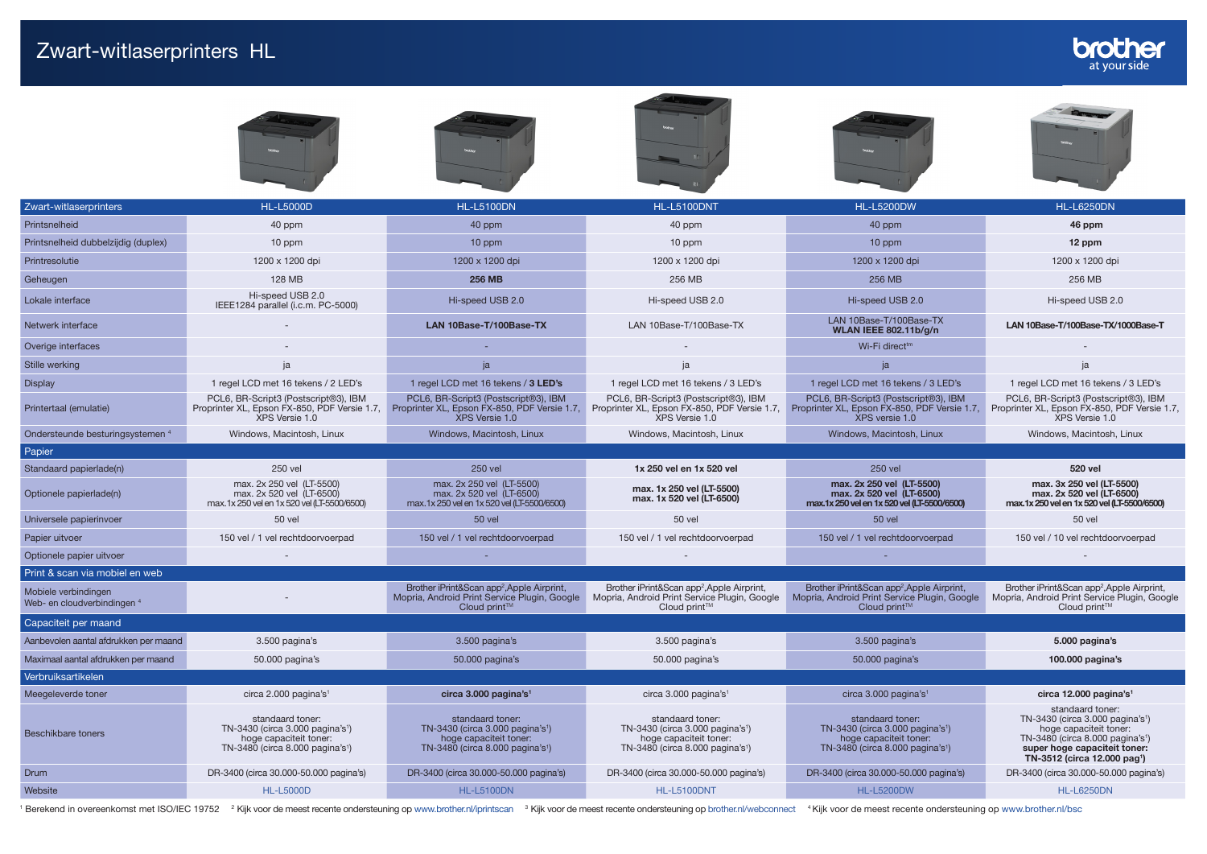Beschikbare toners

TN-3430 (circa 3.000 pagina's<sup>1</sup>) hoge capaciteit toner: TN-3480 (circa 8.000 pagina's<sup>1</sup>)

hoge capaciteit toner: TN-3480 (circa 8.000 pagina's<sup>1</sup>) super hoge capaciteit toner: TN-3512 (circa 12.000 pag<sup>1</sup>)



<sup>1</sup> Berekend in overeenkomst met ISO/IEC 19752 <sup>2</sup> Kijk voor de meest recente ondersteuning op www.brother.nl/iprintscan <sup>3</sup> Kijk voor de meest recente ondersteuning op brother.nl/vebconnect <sup>4</sup> Kijk voor de meest recente

Website HL-L5200D [HL-L5000D](http://www.brother.nl/printers/laserprinter-zwart-wit/hl-l5000d) HL-L5100D [HL-L5100DN](http://www.brother.nl/printers/laserprinter-zwart-wit/hl-l5100dn) HL-L5100DN [HL-L5100DNT](http://www.brother.nl/printers/laserprinter-zwart-wit/hl-l5100dnt) HL-L5100DNT [HL-L5200DW](http://www.brother.nl/printers/laserprinter-zwart-wit/hl-l5200dw) [HL-L6250DN](http://www.brother.nl/printers/laserprinter-zwart-wit/hl-l6250dn) HL-L6250DN

Drum DR-3400 (circa 30.000-50.000 pagina's) DR-3400 (circa 30.000-50.000 pagina's) DR-3400 (circa 30.000-50.000 pagina's) DR-3400 (circa 30.000-50.000 pagina's) DR-3400 (circa 30.000-50.000 pagina's) DR-3400 (circa 30.000-

TN-3430 (circa 3.000 pagina's<sup>1</sup>) hoge capaciteit toner: TN-3480 (circa 8.000 pagina's<sup>1</sup>) TN-3430 (circa 3.000 pagina's<sup>1</sup>) hoge capaciteit toner: TN-3480 (circa 8.000 pagina's<sup>1</sup>)

TN-3430 (circa 3.000 pagina's<sup>1</sup>) hoge capaciteit toner: TN-3480 (circa 8.000 pagina's<sup>1</sup>)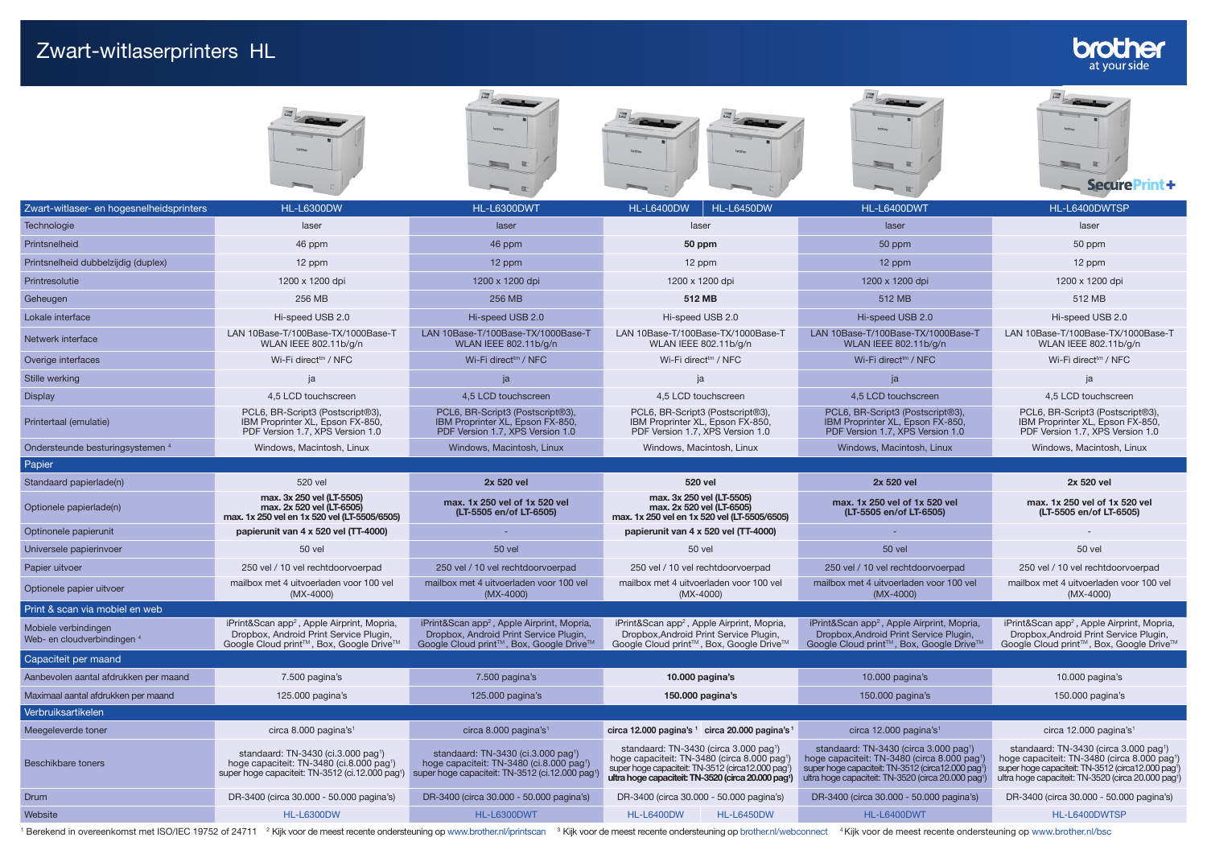## Zwart-witlaserprinters HL











|                                                     |                                                                                                                                                                          | $-2$                                                                                                                                                                    |                                                                                                                                                                                                                                       | 回:                                                                                                                                                                                                                                                 | SecurePrint+                                                                                                                                                                                                             |  |
|-----------------------------------------------------|--------------------------------------------------------------------------------------------------------------------------------------------------------------------------|-------------------------------------------------------------------------------------------------------------------------------------------------------------------------|---------------------------------------------------------------------------------------------------------------------------------------------------------------------------------------------------------------------------------------|----------------------------------------------------------------------------------------------------------------------------------------------------------------------------------------------------------------------------------------------------|--------------------------------------------------------------------------------------------------------------------------------------------------------------------------------------------------------------------------|--|
| Zwart-witlaser- en hogesnelheidsprinters            | <b>HL-L6300DW</b>                                                                                                                                                        | HL-L6300DWT                                                                                                                                                             | <b>HL-L6450DW</b><br><b>HL-L6400DW</b>                                                                                                                                                                                                | HL-L6400DWT                                                                                                                                                                                                                                        | HL-L6400DWTSP                                                                                                                                                                                                            |  |
| Technologie                                         | laser                                                                                                                                                                    | laser                                                                                                                                                                   | laser                                                                                                                                                                                                                                 | laser                                                                                                                                                                                                                                              | laser                                                                                                                                                                                                                    |  |
| Printsnelheid                                       | 46 ppm                                                                                                                                                                   | 46 ppm                                                                                                                                                                  | 50 ppm                                                                                                                                                                                                                                | 50 ppm                                                                                                                                                                                                                                             | 50 ppm                                                                                                                                                                                                                   |  |
| Printsnelheid dubbelzijdig (duplex)                 | 12 ppm                                                                                                                                                                   | 12 ppm                                                                                                                                                                  | 12 ppm                                                                                                                                                                                                                                | 12 ppm                                                                                                                                                                                                                                             | 12 ppm                                                                                                                                                                                                                   |  |
| Printresolutie                                      | 1200 x 1200 dpi                                                                                                                                                          | 1200 x 1200 dpi                                                                                                                                                         | 1200 x 1200 dpi                                                                                                                                                                                                                       | 1200 x 1200 dpi                                                                                                                                                                                                                                    | 1200 x 1200 dpi                                                                                                                                                                                                          |  |
| Geheugen                                            | 256 MB                                                                                                                                                                   | 256 MB                                                                                                                                                                  | 512 MB                                                                                                                                                                                                                                | 512 MB                                                                                                                                                                                                                                             | 512 MB                                                                                                                                                                                                                   |  |
| Lokale interface                                    | Hi-speed USB 2.0                                                                                                                                                         | Hi-speed USB 2.0                                                                                                                                                        | Hi-speed USB 2.0                                                                                                                                                                                                                      | Hi-speed USB 2.0                                                                                                                                                                                                                                   | Hi-speed USB 2.0                                                                                                                                                                                                         |  |
| Netwerk interface                                   | LAN 10Base-T/100Base-TX/1000Base-T<br>WLAN IEEE 802.11b/g/n                                                                                                              | LAN 10Base-T/100Base-TX/1000Base-T<br>WLAN IEEE 802.11b/g/n                                                                                                             | LAN 10Base-T/100Base-TX/1000Base-T<br>WLAN IEEE 802.11b/g/n                                                                                                                                                                           | LAN 10Base-T/100Base-TX/1000Base-T<br>WLAN IEEE 802.11b/g/n                                                                                                                                                                                        | LAN 10Base-T/100Base-TX/1000Base-T<br>WLAN IEEE 802.11b/g/n                                                                                                                                                              |  |
| Overige interfaces                                  | Wi-Fi direct <sup>tm</sup> / NFC                                                                                                                                         | Wi-Fi direct <sup>tm</sup> / NFC                                                                                                                                        | Wi-Fi direct <sup>tm</sup> / NFC                                                                                                                                                                                                      | Wi-Fi direct <sup>tm</sup> / NFC                                                                                                                                                                                                                   | Wi-Fi direct <sup>tm</sup> / NFC                                                                                                                                                                                         |  |
| Stille werking                                      |                                                                                                                                                                          | ja                                                                                                                                                                      |                                                                                                                                                                                                                                       | ja                                                                                                                                                                                                                                                 |                                                                                                                                                                                                                          |  |
| <b>Display</b>                                      | 4.5 LCD touchscreen                                                                                                                                                      | 4.5 LCD touchscreen                                                                                                                                                     | 4.5 LCD touchscreen                                                                                                                                                                                                                   | 4.5 LCD touchscreen                                                                                                                                                                                                                                | 4.5 LCD touchscreen                                                                                                                                                                                                      |  |
| Printertaal (emulatie)                              | PCL6. BR-Script3 (Postscript®3).<br>IBM Proprinter XL, Epson FX-850,<br>PDF Version 1.7, XPS Version 1.0                                                                 | PCL6, BR-Script3 (Postscript®3),<br>IBM Proprinter XL, Epson FX-850,<br>PDF Version 1.7, XPS Version 1.0                                                                | PCL6. BR-Script3 (Postscript®3).<br>IBM Proprinter XL, Epson FX-850,<br>PDF Version 1.7, XPS Version 1.0                                                                                                                              | PCL6, BR-Script3 (Postscript®3),<br>IBM Proprinter XL, Epson FX-850,<br>PDF Version 1.7, XPS Version 1.0                                                                                                                                           | PCL6, BR-Script3 (Postscript®3),<br>IBM Proprinter XL, Epson FX-850,<br>PDF Version 1.7, XPS Version 1.0                                                                                                                 |  |
| Ondersteunde besturingsystemen 4                    | Windows, Macintosh, Linux                                                                                                                                                | Windows, Macintosh, Linux                                                                                                                                               | Windows, Macintosh, Linux                                                                                                                                                                                                             | Windows, Macintosh, Linux                                                                                                                                                                                                                          | Windows, Macintosh, Linux                                                                                                                                                                                                |  |
| Papier                                              |                                                                                                                                                                          |                                                                                                                                                                         |                                                                                                                                                                                                                                       |                                                                                                                                                                                                                                                    |                                                                                                                                                                                                                          |  |
| Standaard papierlade(n)                             | 520 vel                                                                                                                                                                  | 2x 520 vel                                                                                                                                                              | 520 vel                                                                                                                                                                                                                               | 2x 520 vel                                                                                                                                                                                                                                         | 2x 520 vel                                                                                                                                                                                                               |  |
| Optionele papierlade(n)                             | max, 3x 250 vel (LT-5505)<br>max. 2x 520 vel (LT-6505)<br>max. 1x 250 vel en 1x 520 vel (LT-5505/6505)                                                                   | max. 1x 250 vel of 1x 520 vel<br>(LT-5505 en/of LT-6505)                                                                                                                | max, 3x 250 vel (LT-5505)<br>max. 2x 520 vel (LT-6505)<br>max. 1x 250 vel en 1x 520 vel (LT-5505/6505)                                                                                                                                | max. 1x 250 vel of 1x 520 vel<br>(LT-5505 en/of LT-6505)                                                                                                                                                                                           | max. 1x 250 vel of 1x 520 vel<br>(LT-5505 en/of LT-6505)                                                                                                                                                                 |  |
| Optinonele papierunit                               | papierunit van 4 x 520 vel (TT-4000)                                                                                                                                     |                                                                                                                                                                         | papierunit van 4 x 520 vel (TT-4000)                                                                                                                                                                                                  |                                                                                                                                                                                                                                                    |                                                                                                                                                                                                                          |  |
| Universele papierinvoer                             | 50 vel                                                                                                                                                                   | <b>50 vel</b>                                                                                                                                                           | <b>50 vel</b>                                                                                                                                                                                                                         | <b>50 vel</b>                                                                                                                                                                                                                                      | <b>50 vel</b>                                                                                                                                                                                                            |  |
| Papier uitvoer                                      | 250 vel / 10 vel rechtdoorvoerpad                                                                                                                                        | 250 vel / 10 vel rechtdoorvoerpad                                                                                                                                       | 250 vel / 10 vel rechtdoorvoerpad                                                                                                                                                                                                     | 250 vel / 10 vel rechtdoorvoerpad                                                                                                                                                                                                                  | 250 vel / 10 vel rechtdoorvoerpad                                                                                                                                                                                        |  |
| Optionele papier uitvoer                            | mailbox met 4 uitvoerladen voor 100 vel<br>$(MX-4000)$                                                                                                                   | mailbox met 4 uitvoerladen voor 100 vel<br>$(MX-4000)$                                                                                                                  | mailbox met 4 uitvoerladen voor 100 vel<br>$(MX-4000)$                                                                                                                                                                                | mailbox met 4 uitvoerladen voor 100 vel<br>$(MX-4000)$                                                                                                                                                                                             | mailbox met 4 uitvoerladen voor 100 vel<br>$(MX-4000)$                                                                                                                                                                   |  |
| Print & scan via mobiel en web                      |                                                                                                                                                                          |                                                                                                                                                                         |                                                                                                                                                                                                                                       |                                                                                                                                                                                                                                                    |                                                                                                                                                                                                                          |  |
| Mobiele verbindingen<br>Web- en cloudverbindingen 4 | iPrint&Scan app <sup>2</sup> , Apple Airprint, Mopria,<br>Dropbox, Android Print Service Plugin,<br>Google Cloud print™, Box, Google Drive™                              | iPrint&Scan app <sup>2</sup> , Apple Airprint, Mopria,<br>Dropbox, Android Print Service Plugin,<br>Google Cloud print™, Box, Google Drive™                             | iPrint&Scan app <sup>2</sup> , Apple Airprint, Mopria,<br>Dropbox, Android Print Service Plugin,<br>Google Cloud print™, Box, Google Drive™                                                                                           | iPrint&Scan app <sup>2</sup> , Apple Airprint, Mopria,<br>Dropbox, Android Print Service Plugin,<br>Google Cloud print™, Box, Google Drive™                                                                                                        | iPrint&Scan app <sup>2</sup> , Apple Airprint, Mopria,<br>Dropbox, Android Print Service Plugin,<br>Google Cloud print™, Box, Google Drive™                                                                              |  |
| Capaciteit per maand                                |                                                                                                                                                                          |                                                                                                                                                                         |                                                                                                                                                                                                                                       |                                                                                                                                                                                                                                                    |                                                                                                                                                                                                                          |  |
| Aanbevolen aantal afdrukken per maand               | 7.500 pagina's                                                                                                                                                           | 7.500 pagina's                                                                                                                                                          | 10.000 pagina's                                                                                                                                                                                                                       | 10.000 pagina's                                                                                                                                                                                                                                    | 10.000 pagina's                                                                                                                                                                                                          |  |
| Maximaal aantal afdrukken per maand                 | 125.000 pagina's                                                                                                                                                         | 125.000 pagina's                                                                                                                                                        | 150.000 pagina's                                                                                                                                                                                                                      | 150.000 pagina's                                                                                                                                                                                                                                   | 150.000 pagina's                                                                                                                                                                                                         |  |
| Verbruiksartikelen                                  |                                                                                                                                                                          |                                                                                                                                                                         |                                                                                                                                                                                                                                       |                                                                                                                                                                                                                                                    |                                                                                                                                                                                                                          |  |
| Meegeleverde toner                                  | circa 8.000 pagina's <sup>1</sup>                                                                                                                                        | circa 8.000 pagina's <sup>1</sup>                                                                                                                                       | circa 12.000 pagina's 1 circa 20.000 pagina's 1                                                                                                                                                                                       | circa 12.000 pagina's <sup>1</sup>                                                                                                                                                                                                                 | circa 12.000 pagina's <sup>1</sup>                                                                                                                                                                                       |  |
| <b>Beschikbare toners</b>                           | standaard: TN-3430 (ci.3.000 pag <sup>1</sup> )<br>hoge capaciteit: TN-3480 (ci.8.000 pag <sup>1</sup> )<br>super hoge capaciteit: TN-3512 (ci.12.000 pag <sup>1</sup> ) | standaard: TN-3430 (ci.3.000 pag <sup>1</sup> )<br>hoge capaciteit: TN-3480 (ci.8.000 pag <sup>1</sup> )<br>super hoge capaciteit: TN-3512 (ci.12.000 pag <sup>1)</sup> | standaard: TN-3430 (circa 3.000 pag <sup>1</sup> )<br>hoge capaciteit: TN-3480 (circa 8.000 pag <sup>1)</sup><br>super hoge capaciteit: TN-3512 (circa12.000 pag1)<br>ultra hoge capaciteit: TN-3520 (circa 20.000 pag <sup>1</sup> ) | standaard: TN-3430 (circa 3.000 pag <sup>1</sup> )<br>hoge capaciteit: TN-3480 (circa 8.000 pag <sup>1</sup> )<br>super hoge capaciteit: TN-3512 (circa12.000 pag <sup>1</sup> )<br>ultra hoge capaciteit: TN-3520 (circa 20.000 pag <sup>1)</sup> | standaard: TN-3430 (circa 3.000 pag <sup>1</sup> )<br>hoge capaciteit: TN-3480 (circa 8.000 pag1)<br>super hoge capaciteit: TN-3512 (circa12.000 pag <sup>1</sup> )<br>ultra hoge capaciteit: TN-3520 (circa 20.000 pag1 |  |

Website HL-L6400DWTSP [HL-L6300DW](http://www.brother.nl/printers/laserprinter-zwart-wit/hl-l6300dw) [HL-L6300DWT](http://www.brother.nl/printers/laserprinter-zwart-wit/hl-l6300dwt) HL-L6300DWT [HL-L6400DW](http://www.brother.nl/printers/laserprinter-zwart-wit/hl-l6400dw) [HL-L6450DW](http://www.brother.nl/printers/laserprinter-zwart-wit/hl-l6450dw) HL-L6450DW [HL-L6400DWT](http://www.brother.nl/printers/laserprinter-zwart-wit/hl-l6450dwtsp)SP HL-L6400DWTSP <sup>1</sup> Berekend in overeenkomst met ISO/IEC 19752 of 24711 <sup>2</sup> Kijk voor de meest recente ondersteuning op <www.brother.nl/iprintscan><sup>3</sup> Kijk voor de meest recente ondersteuning op brother.nl/vebconnect <sup>4</sup> Kijk voor de meest

Drum DR-3400 (circa 30.000 - 50.000 pagina's) DR-3400 (circa 30.000 - 50.000 pagina's) DR-3400 (circa 30.000 - 50.000 pagina's) DR-3400 (circa 30.000 - 50.000 pagina's) DR-3400 (circa 30.000 - 50.000 pagina's)